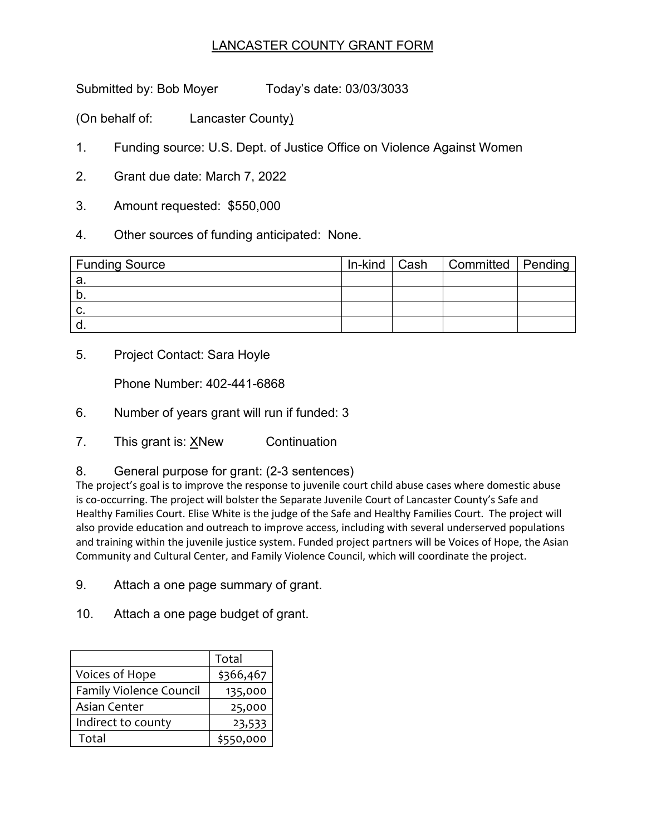## LANCASTER COUNTY GRANT FORM

Submitted by: Bob Moyer Today's date: 03/03/3033

(On behalf of: Lancaster County)

- 1. Funding source: U.S. Dept. of Justice Office on Violence Against Women
- 2. Grant due date: March 7, 2022
- 3. Amount requested: \$550,000
- 4. Other sources of funding anticipated: None.

| <b>Funding Source</b> | In-kind ∣ Cash | Committed   Pending |  |
|-----------------------|----------------|---------------------|--|
| а.                    |                |                     |  |
| ັບ                    |                |                     |  |
| C.                    |                |                     |  |
|                       |                |                     |  |

5. Project Contact: Sara Hoyle

Phone Number: 402-441-6868

- 6. Number of years grant will run if funded: 3
- 7. This grant is: XNew Continuation
- 8. General purpose for grant: (2-3 sentences)

The project's goal is to improve the response to juvenile court child abuse cases where domestic abuse is co-occurring. The project will bolster the Separate Juvenile Court of Lancaster County's Safe and Healthy Families Court. Elise White is the judge of the Safe and Healthy Families Court. The project will also provide education and outreach to improve access, including with several underserved populations and training within the juvenile justice system. Funded project partners will be Voices of Hope, the Asian Community and Cultural Center, and Family Violence Council, which will coordinate the project.

- 9. Attach a one page summary of grant.
- 10. Attach a one page budget of grant.

|                                | Total     |
|--------------------------------|-----------|
| Voices of Hope                 | \$366,467 |
| <b>Family Violence Council</b> | 135,000   |
| Asian Center                   | 25,000    |
| Indirect to county             | 23,533    |
| Total                          | \$550,000 |